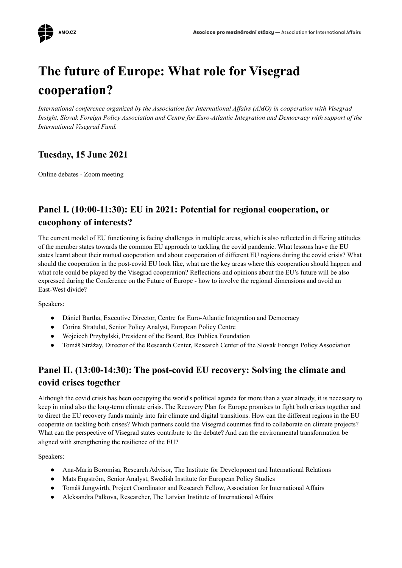

# **The future of Europe: What role for Visegrad cooperation?**

*International conference organized by the Association for International Af airs (AMO) in cooperation with Visegrad* Insight, Slovak Foreign Policy Association and Centre for Euro-Atlantic Integration and Democracy with support of the *International Visegrad Fund.*

## **Tuesday, 15 June 2021**

Online debates - Zoom meeting

# **Panel I. (10:00-11:30): EU in 2021: Potential for regional cooperation, or cacophony of interests?**

The current model of EU functioning is facing challenges in multiple areas, which is also reflected in differing attitudes of the member states towards the common EU approach to tackling the covid pandemic. What lessons have the EU states learnt about their mutual cooperation and about cooperation of different EU regions during the covid crisis? What should the cooperation in the post-covid EU look like, what are the key areas where this cooperation should happen and what role could be played by the Visegrad cooperation? Reflections and opinions about the EU's future will be also expressed during the Conference on the Future of Europe - how to involve the regional dimensions and avoid an East-West divide?

Speakers:

- Dániel Bartha, Executive Director, Centre for Euro-Atlantic Integration and Democracy
- Corina Stratulat, Senior Policy Analyst, European Policy Centre
- Wojciech Przybylski, President of the Board, Res Publica Foundation
- Tomáš Strážay, Director of the Research Center, Research Center of the Slovak Foreign Policy Association

#### **Panel II. (13:00-14:30): The post-covid EU recovery: Solving the climate and covid crises together**

Although the covid crisis has been occupying the world's political agenda for more than a year already, it is necessary to keep in mind also the long-term climate crisis. The Recovery Plan for Europe promises to fight both crises together and to direct the EU recovery funds mainly into fair climate and digital transitions. How can the different regions in the EU cooperate on tackling both crises? Which partners could the Visegrad countries find to collaborate on climate projects? What can the perspective of Visegrad states contribute to the debate? And can the environmental transformation be aligned with strengthening the resilience of the EU?

Speakers:

- Ana-Maria Boromisa, Research Advisor, The Institute for Development and International Relations
- Mats Engström, Senior Analyst, Swedish Institute for European Policy Studies
- Tomáš Jungwirth, Project Coordinator and Research Fellow, Association for International Affairs
- Aleksandra Palkova, Researcher, The Latvian Institute of International Affairs